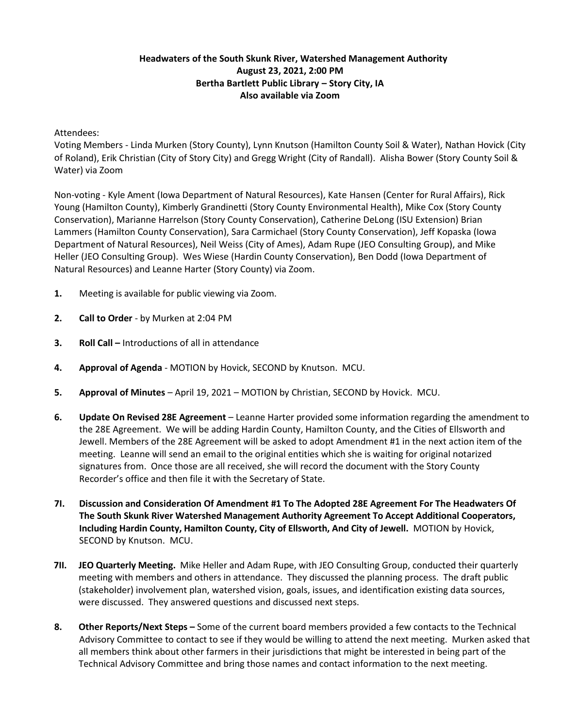## **Headwaters of the South Skunk River, Watershed Management Authority August 23, 2021, 2:00 PM Bertha Bartlett Public Library – Story City, IA Also available via Zoom**

## Attendees:

Voting Members - Linda Murken (Story County), Lynn Knutson (Hamilton County Soil & Water), Nathan Hovick (City of Roland), Erik Christian (City of Story City) and Gregg Wright (City of Randall). Alisha Bower (Story County Soil & Water) via Zoom

Non-voting - Kyle Ament (Iowa Department of Natural Resources), Kate Hansen (Center for Rural Affairs), Rick Young (Hamilton County), Kimberly Grandinetti (Story County Environmental Health), Mike Cox (Story County Conservation), Marianne Harrelson (Story County Conservation), Catherine DeLong (ISU Extension) Brian Lammers (Hamilton County Conservation), Sara Carmichael (Story County Conservation), Jeff Kopaska (Iowa Department of Natural Resources), Neil Weiss (City of Ames), Adam Rupe (JEO Consulting Group), and Mike Heller (JEO Consulting Group). Wes Wiese (Hardin County Conservation), Ben Dodd (Iowa Department of Natural Resources) and Leanne Harter (Story County) via Zoom.

- **1.** Meeting is available for public viewing via Zoom.
- **2. Call to Order** by Murken at 2:04 PM
- **3. Roll Call –** Introductions of all in attendance
- **4. Approval of Agenda** MOTION by Hovick, SECOND by Knutson. MCU.
- **5. Approval of Minutes** April 19, 2021 MOTION by Christian, SECOND by Hovick. MCU.
- **6. Update On Revised 28E Agreement** Leanne Harter provided some information regarding the amendment to the 28E Agreement. We will be adding Hardin County, Hamilton County, and the Cities of Ellsworth and Jewell. Members of the 28E Agreement will be asked to adopt Amendment #1 in the next action item of the meeting. Leanne will send an email to the original entities which she is waiting for original notarized signatures from. Once those are all received, she will record the document with the Story County Recorder's office and then file it with the Secretary of State.
- **7I. Discussion and Consideration Of Amendment #1 To The Adopted 28E Agreement For The Headwaters Of The South Skunk River Watershed Management Authority Agreement To Accept Additional Cooperators, Including Hardin County, Hamilton County, City of Ellsworth, And City of Jewell.** MOTION by Hovick, SECOND by Knutson. MCU.
- **7II. JEO Quarterly Meeting.** Mike Heller and Adam Rupe, with JEO Consulting Group, conducted their quarterly meeting with members and others in attendance. They discussed the planning process. The draft public (stakeholder) involvement plan, watershed vision, goals, issues, and identification existing data sources, were discussed. They answered questions and discussed next steps.
- **8. Other Reports/Next Steps –** Some of the current board members provided a few contacts to the Technical Advisory Committee to contact to see if they would be willing to attend the next meeting. Murken asked that all members think about other farmers in their jurisdictions that might be interested in being part of the Technical Advisory Committee and bring those names and contact information to the next meeting.